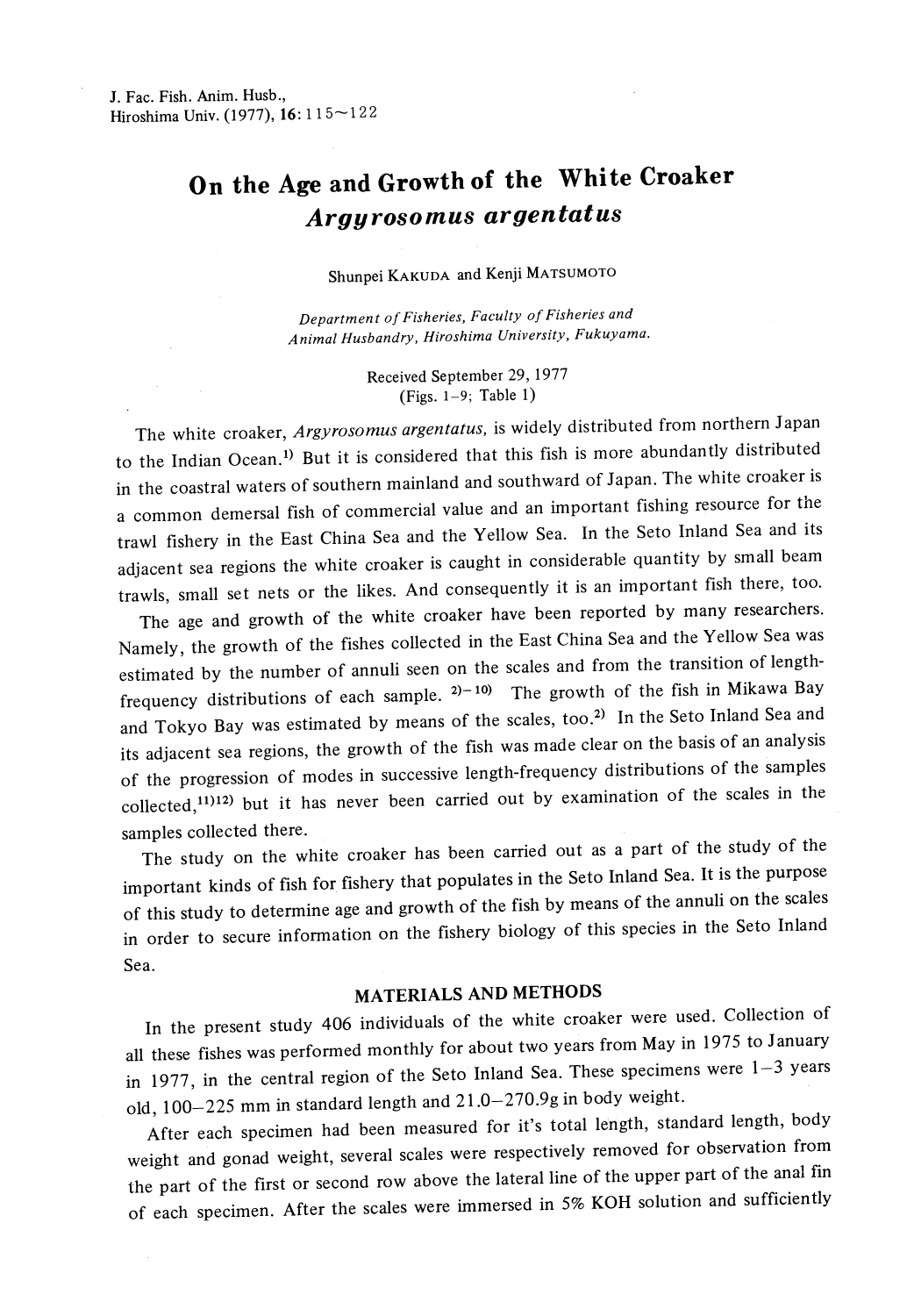# **On the Age and Growth of the White Croaker** *Argyrosomus argentatus*

Shunpei KAKUDA and Kenji MATSUMOTO

*Department of Fisheries, Faculty of Fisheries and Animal Husbandry, Hiroshima University, Fukuyama.* 

> Received September 29, 1977 (Figs. 1~9; Table I)

The white croaker, *Argyrosomus argentatus,* is widely distributed from northern *1* apan to the Indian Ocean.<sup>1)</sup> But it is considered that this fish is more abundantly distributed in the coastral waters of southern mainland and southward of Japan. The white croaker is a common demersal fish of commercial value and an important fishing resource for the trawl fishery in the East China Sea and the Yellow Sea. In the Seto Inland Sea and its adjacent sea regions the white croaker is caught in considerable quantity by small beam trawls, small set nets or the likes. And consequently it is an important fish there, too.

The age and growth of the white croaker have been reported by many researchers. Namely, the growth of the fishes collected in the East China Sea and the Yellow Sea was estimated by the number of annuli seen on the scales and from the transition of lengthfrequency distributions of each sample.  $2^{j-10}$  The growth of the fish in Mikawa Bay and Tokyo Bay was estimated by means of the scales, too.<sup>2)</sup> In the Seto Inland Sea and its adjacent sea regions, the growth of the fish was made clear on the basis of an analysis of the progression of modes in successive length-frequency distributions of the samples  $\text{collected},^{11)12}$  but it has never been carried out by examination of the scales in the samples collected there.

The study on the white croaker has been carried out as a part of the study of the important kinds of fish for fishery that populates in the Seto Inland Sea. It is the purpose of this study to determine age and growth of the fish by means of the annuli on the scales in order to secure information on the fishery biology of this species in the Seto Inland Sea.

### **MATERIALS AND METHODS**

In the present study 406 individuals of the white croaker were used. Collection of all these fishes was performed monthly for about two years from May in 1975 to January in 1977, in the central region of the Seto Inland Sea. These specimens were  $1-3$  years old, 100-225 mm in standard length and 21.0-270.9g in body weight.

After each specimen had been measured for it's total length, standard length, body weight and gonad weight, several scales were respectively removed for observation from the part of the first or second row above the lateral line of the upper part of the anal fin of each specimen. After the scales were immersed in 5% KOH solution and sufficiently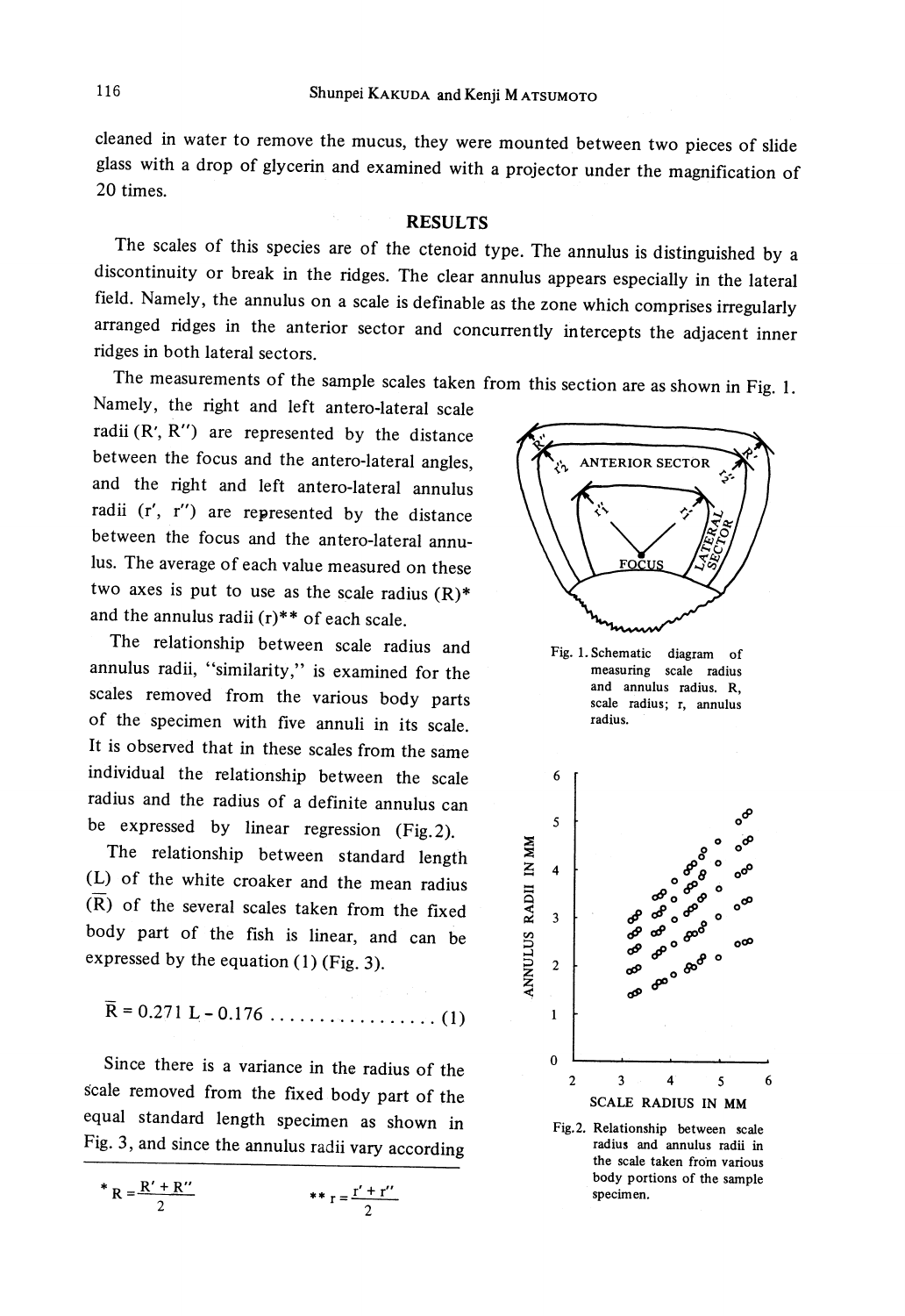cleaned in water to remove the mucus, they were mounted between two pieces of slide <sup>g</sup>lass with a drop of glycerin and examined with a projector under the magnification of 20 times.

#### RESULTS

The scales of this species are of the ctenoid type. The annulus is distinguished by a discontinuity or break in the ridges. The clear annulus appears especially in the lateral field. Namely, the annulus on a scale is definable as the zone which comprises irregularly arranged ridges in the anterior sector and concurrently intercepts the adjacent inner ridges in both lateral sectors.

The measurements of the sample scales taken from this section are as shown in Fig. 1.

Namely, the right and left antero-lateral scale radii (R', R") are represented by the distance between the focus and the antero-lateral angles, and the right and left antero-lateral annulus radii (r', r") are represented by the distance between the focus and the antero-lateral annulus. The average of each value measured on these two axes is put to use as the scale radius  $(R)^*$ and the annulus radii  $(r)$ <sup>\*\*</sup> of each scale.

The relationship between scale radius and annulus radii, "similarity," is examined for the scales removed from the various body parts of the specimen with five annuli in its scale. It is observed that in these scales from the same individual the relationship between the scale radius and the radius of a definite annulus can be expressed by linear regression (Fig. 2).

The relationship between standard length (L) of the white croaker and the mean radius  $(\overline{R})$  of the several scales taken from the fixed body part of the fish is linear, and can be expressed by the equation (1) (Fig. 3).

$$
R = 0.271 L - 0.176 \ldots \ldots \ldots \ldots \ldots \ldots (1)
$$

Since there is a variance in the radius of the Scale removed from the fixed body part of the equal standard length specimen as shown in Fig. 3, and since the annulus radii vary according

\*  $_{\rm R}$  =  $\frac{\rm R'+R''}{\rm R''}$ 2 \*\*  $r = \frac{r' + r''}{r''}$ 2



Fig. 1. Schematic diagram of measuring scale radius and annulus radius. R, scale **radius; r,** annulus radius.



Fig.2. Relationship between scale radius and annulus radii in the scale taken from various body portions of the sample specimen.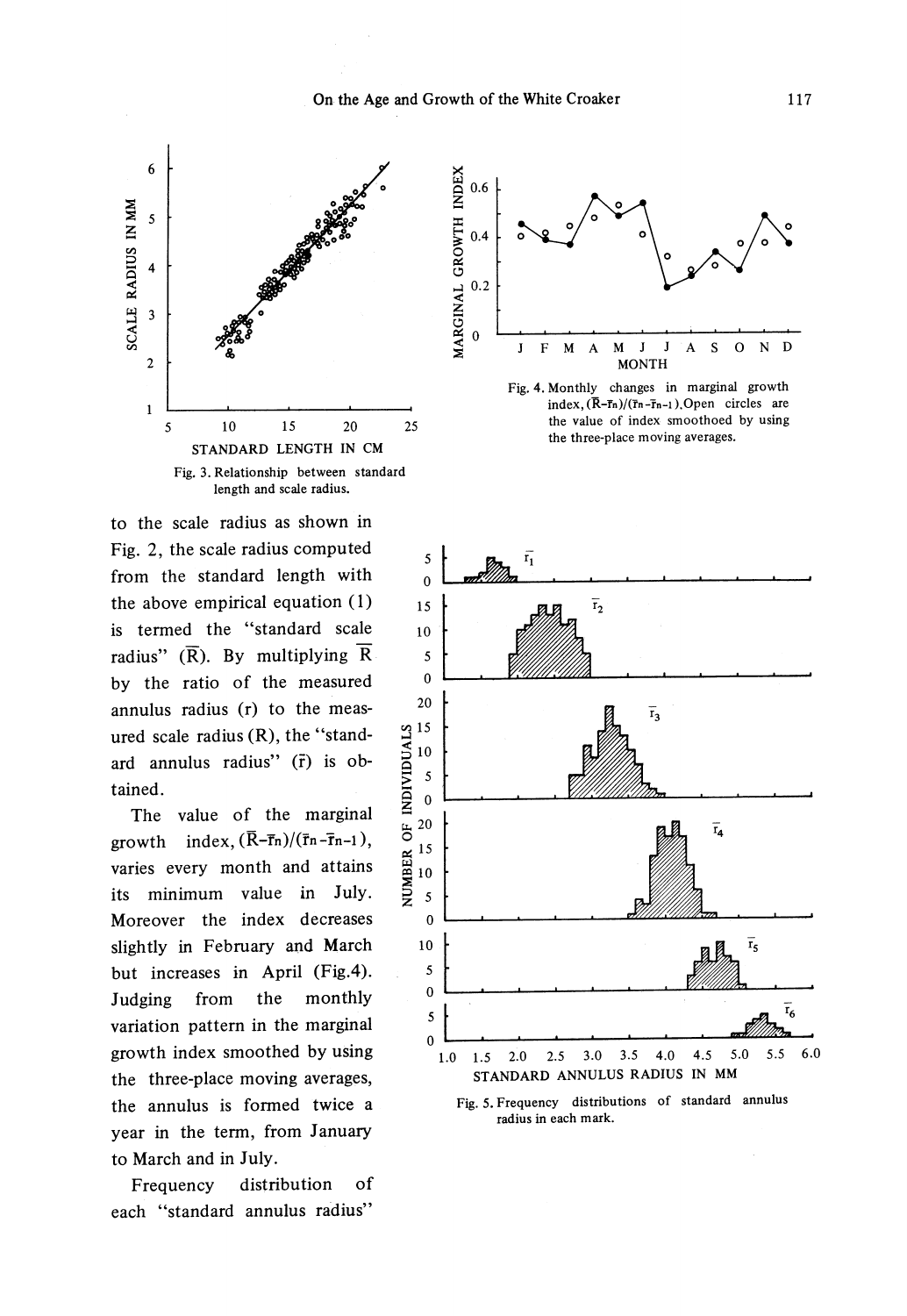

to the scale radius as shown in Fig. 2, the scale radius computed from the standard length with the above empirical equation ( 1) is termed the "standard scale radius"  $(\overline{R})$ . By multiplying  $\overline{R}$ by the ratio of the measured annulus radius (r) to the measured scale radius (R), the "standard annulus radius" (r̃) is obtained.

The value of the marginal growth index,  $(\overline{R}-\overline{r}_n)/(\overline{r}_n-\overline{r}_{n-1})$ , varies every month and attains its minimum value in July. Moreover the index decreases slightly in February and March but increases in April (Fig.4). Judging from the monthly variation pattern in the marginal growth index smoothed by using the three-place moving averages, the annulus is formed twice a year in the term, from January to March and in July.

Frequency distribution of each "standard annulus radius"



Fig. 4. Monthly changes in marginal growth index,  $(\overline{R}-\overline{r}_n)/(\overline{r}_n-\overline{r}_{n-1})$ . Open circles are the value of index smoothoed by using the three-place moving averages.



Fig. 5. Frequency distributions of standard annulus radius in each mark.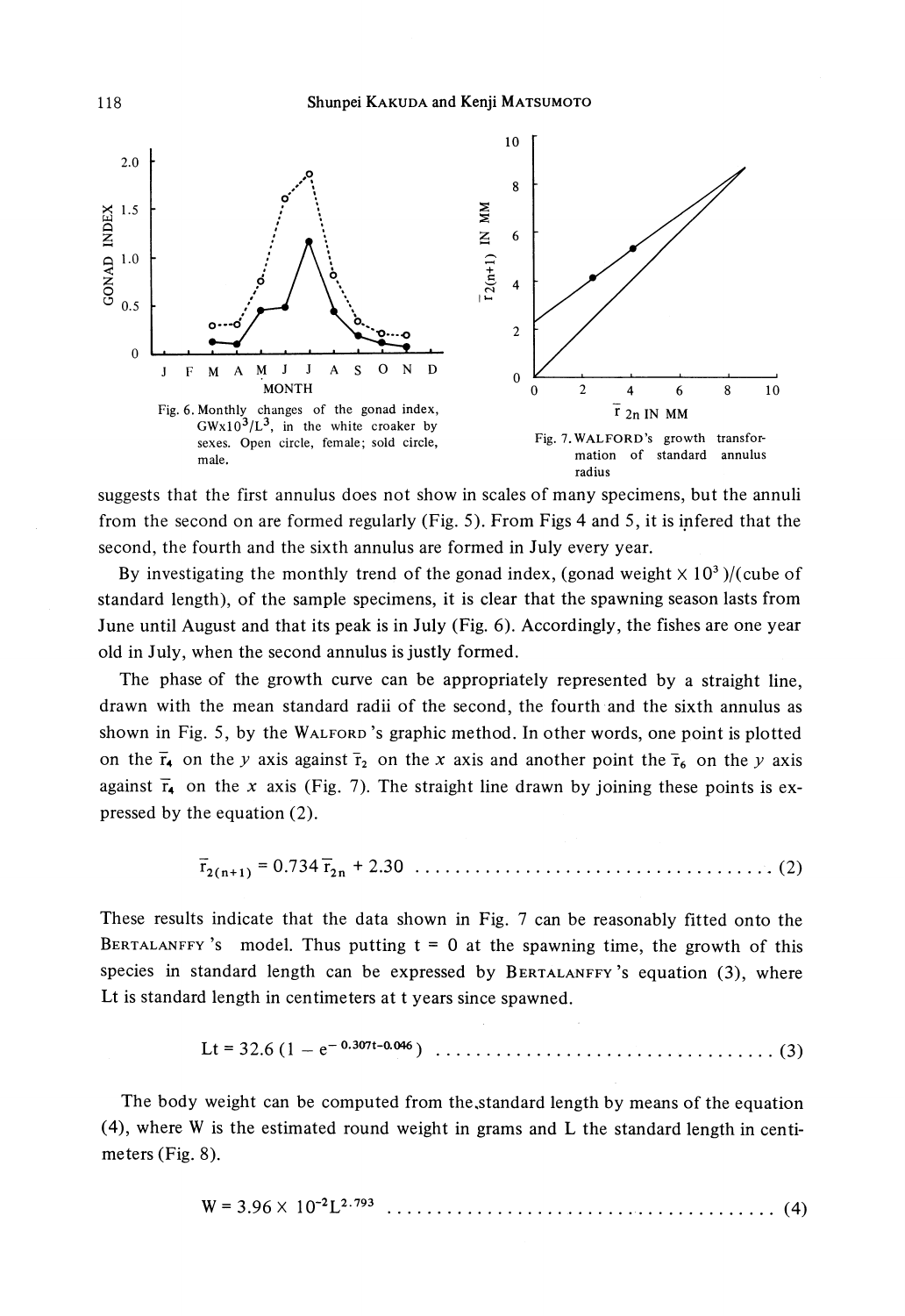Shunpei KAKUDA and Kenji MATSUMOTO



suggests that the first annulus does not show in scales of many specimens, but the annuli from the second on are formed regularly (Fig. 5). From Figs 4 and 5, it is inferred that the second, the fourth and the sixth annulus are formed in July every year.

By investigating the monthly trend of the gonad index, (gonad weight  $\times 10^3$ )/(cube of standard length), of the sample specimens, it is clear that the spawning season lasts from June until August and that its peak is in July (Fig. 6). Accordingly, the fishes are one year old in July, when the second annulus is justly formed.

The phase of the growth curve can be appropriately represented by a straight line, drawn with the mean standard radii of the second, the fourth and the sixth annulus as shown in Fig. 5, by the WALFORD 's graphic method. In other words, one point is plotted on the  $\overline{r}_4$  on the *y* axis against  $\overline{r}_2$  on the *x* axis and another point the  $\overline{r}_6$  on the *y* axis against  $\bar{r}_\bullet$  on the *x* axis (Fig. 7). The straight line drawn by joining these points is expressed by the equation (2).

$$
\overline{r}_{2(n+1)} = 0.734 \overline{r}_{2n} + 2.30
$$

These results indicate that the data shown in Fig. 7 can be reasonably fitted onto the BERTALANFFY's model. Thus putting  $t = 0$  at the spawning time, the growth of this species in standard length can be expressed by BERTALANFFY 's equation (3), where Lt is standard length in centimeters at t years since spawned.

Lt = 32.6 (l - e- o.307t-o.046) .................................. (3)

The body weight can be computed from the,standard length by means of the equation  $(4)$ , where W is the estimated round weight in grams and L the standard length in centimeters (Fig. 8).

$$
W = 3.96 \times 10^{-2} L^{2.793} \dots \dots \dots \dots \dots \dots \dots \dots \dots \dots \dots \dots \dots \dots \dots \tag{4}
$$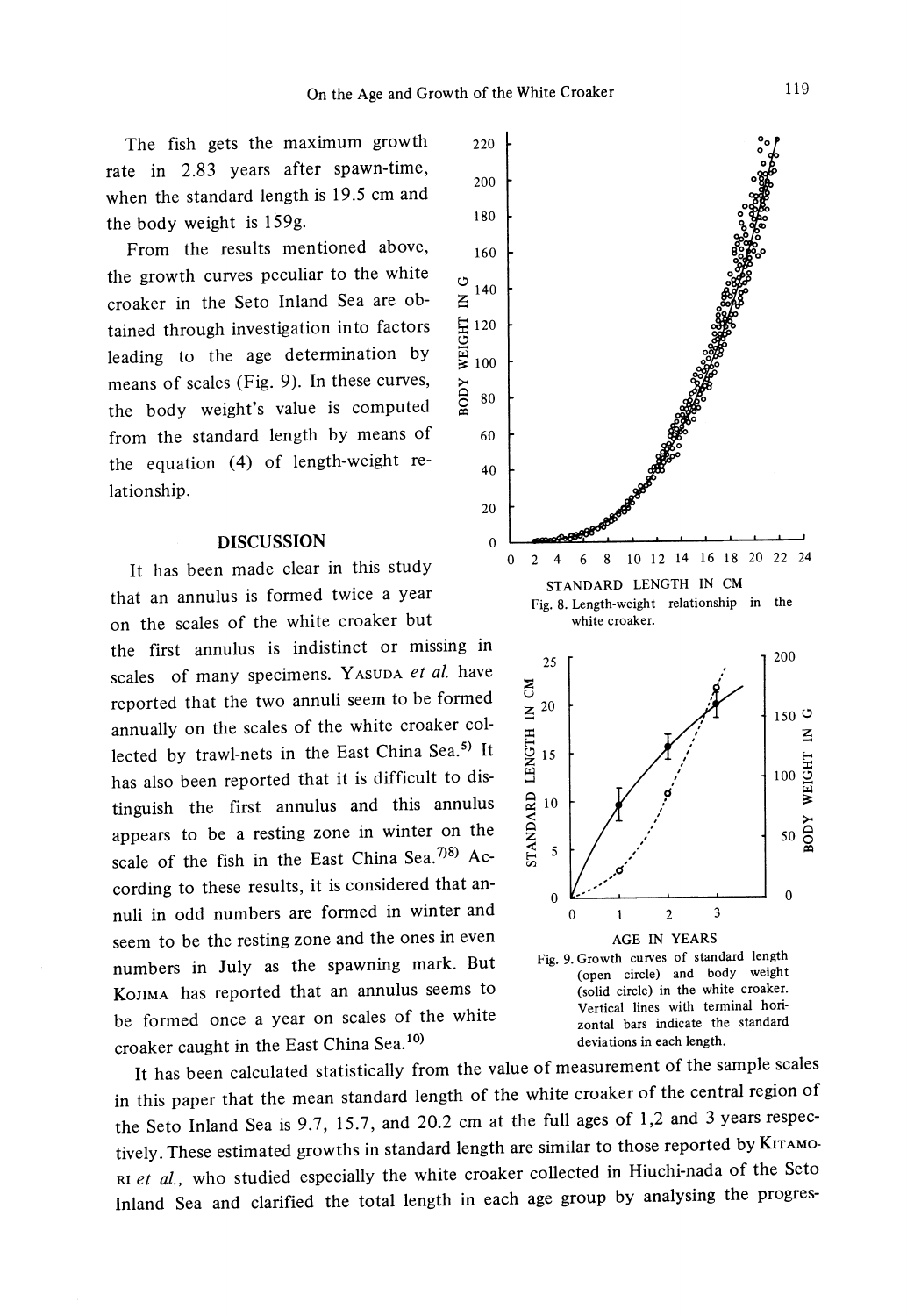$\leq$ 

0 *w* 

>-

>Q

The fish gets the maximum growth rate in 2.83 years after spawn-time, when the standard length is 19.5 cm and the body weight is 159g.

From the results mentioned above, the growth curves peculiar to the white croaker in the Seto Inland Sea are obtained through investigation into factors leading to the age determination by means of scales (Fig. 9). In these curves, the body weight's value is computed from the standard length by means of the equation (4) of length-weight relationship.

#### **DISCUSSION**

It has been made clear in this study that an annulus is formed twice a year on the scales of the white croaker but

the first annulus is indistinct or missing in scales of many specimens. Y ASUDA *et al.* have reported that the two annuli seem to be formed annually on the scales of the white croaker collected by trawl-nets in the East China Sea.<sup>5)</sup> It has also been reported that it is difficult to distinguish the first annulus and this annulus appears to be a resting zone in winter on the scale of the fish in the East China Sea.  $7^{18}$ ) According to these results, it is considered that annuli in odd numbers are formed in winter and seem to be the resting zone and the ones in even numbers in July as the spawning mark. But KoJIMA has reported that an annulus seems to be formed once a year on scales of the white croaker caught in the East China Sea.<sup>10</sup>  $\qquad \qquad$  deviations in each length.



It has been calculated statistically from the value of measurement of the sample scales in this paper that the mean standard length of the white croaker of the central region of the Seto Inland Sea is 9.7, 15.7, and 20.2 cm at the full ages of 1,2 and 3 years respectively. These estimated growths in standard length are similar to those reported by KITAMO-RI *et al.,* who studied especially the white croaker collected in Hiuchi-nada of the Seto Inland Sea and clarified the total length in each age group by analysing the progres-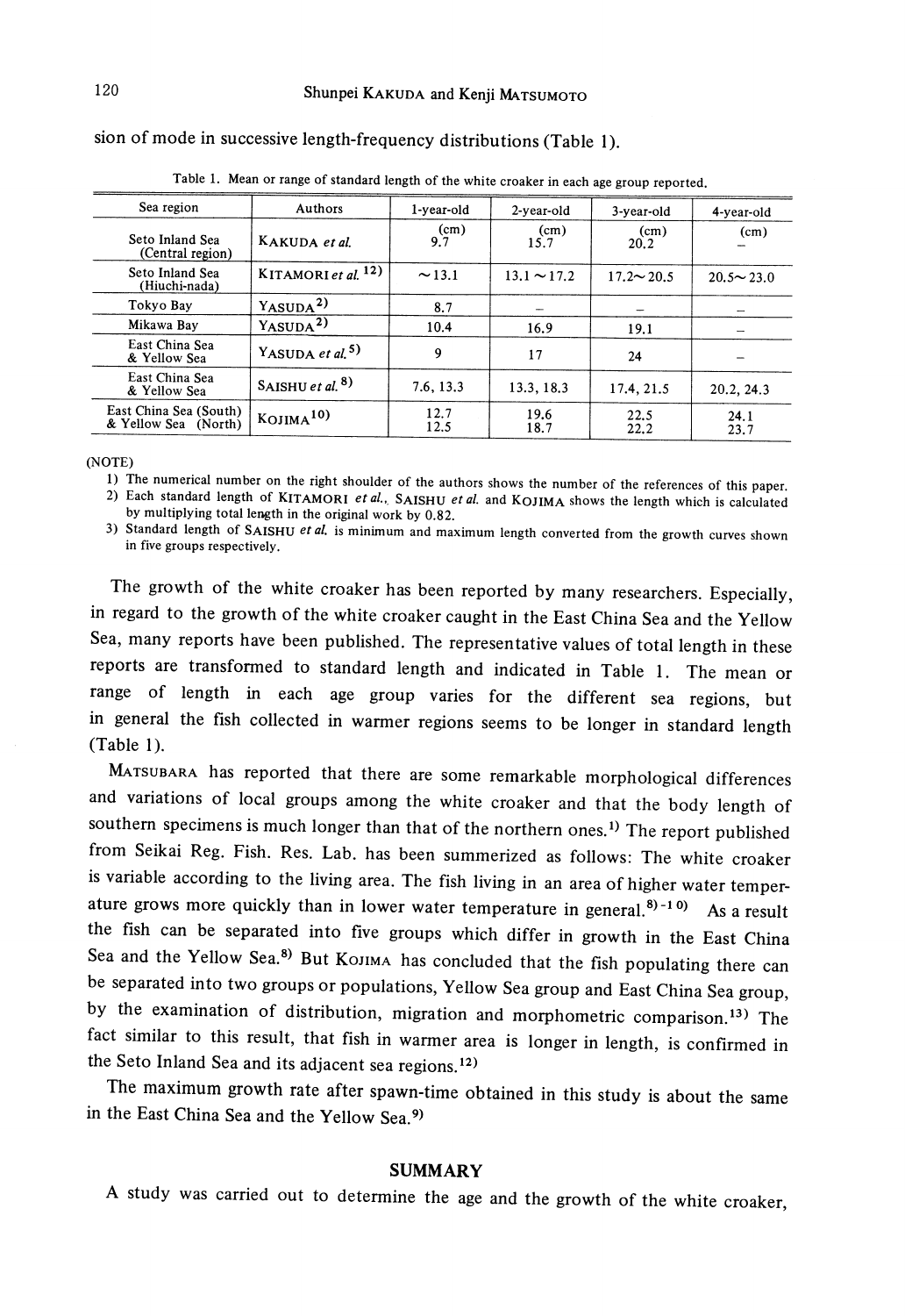| Table 1. Mean or range of standard length of the white croaker in each age group reported. |                                 |              |                  |                  |                  |
|--------------------------------------------------------------------------------------------|---------------------------------|--------------|------------------|------------------|------------------|
| Sea region                                                                                 | Authors                         | 1-year-old   | 2-year-old       | 3-year-old       | 4-year-old       |
| Seto Inland Sea<br>(Central region)                                                        | KAKUDA et al.                   | (cm)<br>9.7  | (cm)<br>15.7     | (cm)<br>20.2     | (cm)             |
| Seto Inland Sea<br>(Hiuchi-nada)                                                           | KITAMORI et al. <sup>12</sup> ) | $\sim$ 13.1  | $13.1 \sim 17.2$ | $17.2 \sim 20.5$ | $20.5 \sim 23.0$ |
| Tokyo Bay                                                                                  | $Y_{ASUDA}$ <sup>2)</sup>       | 8.7          |                  |                  |                  |
| Mikawa Bay                                                                                 | $Y_{ASUDA}$ <sup>2)</sup>       | 10.4         | 16.9             | 19.1             |                  |
| East China Sea<br>& Yellow Sea                                                             | YASUDA et al. <sup>5)</sup>     | 9            | 17               | 24               |                  |
| East China Sea<br>& Yellow Sea                                                             | SAISHU et al. $8)$              | 7.6, 13.3    | 13.3, 18.3       | 17.4, 21.5       | 20.2, 24.3       |
| East China Sea (South)<br>& Yellow Sea (North)                                             | $K_{\rm OJIMA}10$               | 12.7<br>12.5 | 19.6<br>18.7     | 22.5<br>22.2     | 24.1<br>23.7     |

sion of mode in successive length-frequency distributions (Table 1 ).

(NOTE)

1) The numerical number on the right shoulder of the authors shows the number of the references of this paper.<br>2) Each standard length of KITAMORI *et al.*, SAISHU *et al.* and KOJIMA shows the length which is calculated

3) Standard length of SAISHU *et al.* is minimum and maximum length converted from the growth curves shown in five groups respectively.

The growth of the white croaker has been reported by many researchers. Especially, in regard to the growth of the white croaker caught in the East China Sea and the Yellow Sea, many reports have been published. The representative values of total length in these reports are transformed to standard length and indicated in Table 1. The mean or range of length in each age group varies for the different sea regions, but in general the fish collected in warmer regions seems to be longer in standard length  $(Table 1)$ .

MATSUBARA has reported that there are some remarkable morphological differences and variations of local groups among the white croaker and that the body length of southern specimens is much longer than that of the northern ones.<sup>1)</sup> The report published from Seikai Reg. Fish. Res. Lab. has been summerized as follows: The white croaker is variable according to the living area. The fish living in an area of higher water temperature grows more quickly than in lower water temperature in general.<sup>8)-10)</sup> As a result the fish can be separated into five groups which differ in growth in the East China Sea and the Yellow Sea.<sup>8)</sup> But KOJIMA has concluded that the fish populating there can be separated into two groups or populations, Yellow Sea group and East China Sea group, by the examination of distribution, migration and morphometric comparison.<sup>13)</sup> The fact similar to this result, that fish in warmer area is longer in length, is confirmed in the Seto Inland Sea and its adjacent sea regions. 12)

The maximum growth rate after spawn-time obtained in this study is about the same in the East China Sea and the Yellow Sea. 9)

#### **SUMMARY**

<sup>A</sup>study was carried out to determine the age and the growth of the white croaker,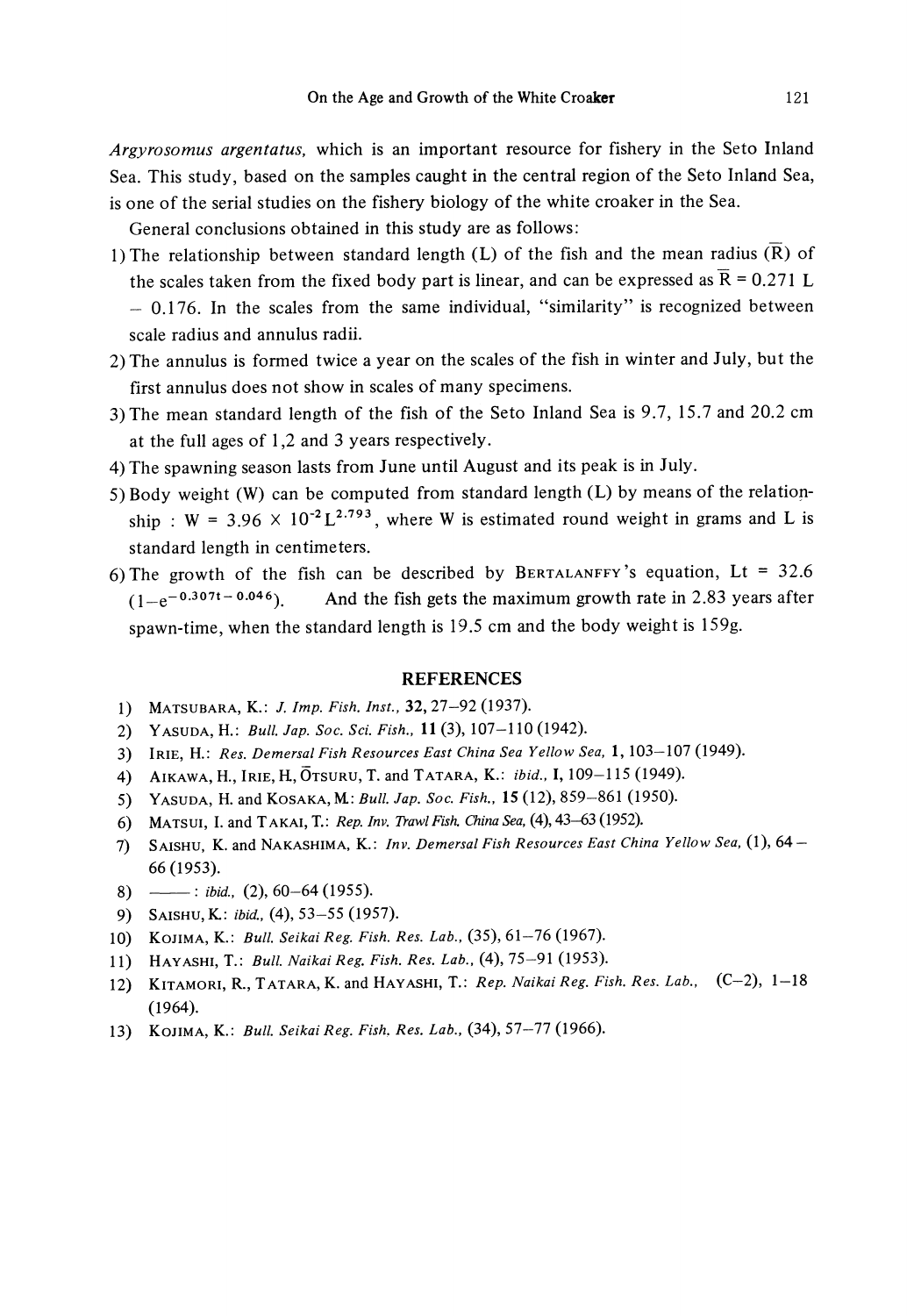*Argyrosomus argentatus,* which is an important resource for fishery in the Seto Inland Sea. This study, based on the samples caught in the central region of the Seto Inland Sea, is one of the serial studies on the fishery biology of the white croaker in the Sea.

General conclusions obtained in this study are as follows:

- 1) The relationship between standard length  $(L)$  of the fish and the mean radius  $(\overline{R})$  of the scales taken from the fixed body part is linear, and can be expressed as  $\bar{R} = 0.271$  L - 0.176. In the scales from the same individual, "similarity" is recognized between scale radius and annulus radii.
- 2) The annulus is formed twice a year on the scales of the fish in winter and July, but the first annulus does not show in scales of many specimens.
- 3)The mean standard length of the fish of the Seto Inland Sea is 9.7, 15.7 and 20.2 cm at the full ages of 1 ,2 and 3 years respectively.
- 4) The spawning season lasts from June until August and its peak is in July.
- 5) Body weight (W) can be computed from standard length **(L)** by means of the relationship : W = 3.96  $\times$  10<sup>-2</sup> L<sup>2.793</sup>, where W is estimated round weight in grams and L is standard length in centimeters.
- 6) The growth of the fish can be described by BERTALANFFY's equation, Lt =  $32.6$  $(1-e^{-0.307t-0.046})$ . And the fish gets the maximum growth rate in 2.83 years after spawn-time, when the standard length is 19.5 cm and the body weight is 159g.

#### **REFERENCES**

- 1) MATSUBARA, K.: *J. Imp. Fish. Inst.,* 32,27-92 (1937).
- 2) Y ASUDA, H.: *Bull. Jap. Soc. Sci. Fish.,* **11** (3), 107-110 (1942).
- 3) lRIE, **H.:** *Res. Demersal Fish Resources East China Sea Yellow Sea,* **1,** 103-107 (1949).
- 4) AIKAWA, H., lRIE, H, 0TSURU, T. and TATARA, K.: *ibid.,* **I,** 109-115 (1949).
- 5) YASUDA, H.andKosAKA,M:Bull.Jap. *Soc. Fish.,* 15(12),859-861 (1950).
- 6) MATSUI, I. and T AKA!, T.: *Rep. lnv. Trawl Fish China Sea,* (4), 43-63 (1952).
- 7) SAISHU, K. and NAKASHIMA, K.: *lnv. Demersal Fish Resources East China Yellow Sea,* (1), 64- 66 (1953).
- 8) ------ *ibid.*, (2), 60-64 (1955).
- 9) SA!SHU,K: *ibid.,* (4), 53-55 (1957).
- 10) KoJIMA, K.: *Bull. Seikai Reg. Fish. Res. Lab.,* (35), 61-76 (1967).
- 11) HAY ASHI, T.: *Bull. Naikai Reg. Fish. Res. Lab.*, (4), 75-91 (1953).
- 12) KITAMORI, R., TATARA, K. and HAY ASH!, T.: *Rep. Naikai Reg. Fish. Res. Lab.,* (C-2), 1-18 (1964).
- 13) KoJIMA, K.: *Bull. Seikai Reg. Fish, Res. Lab.,* (34), 57-77 (1966).